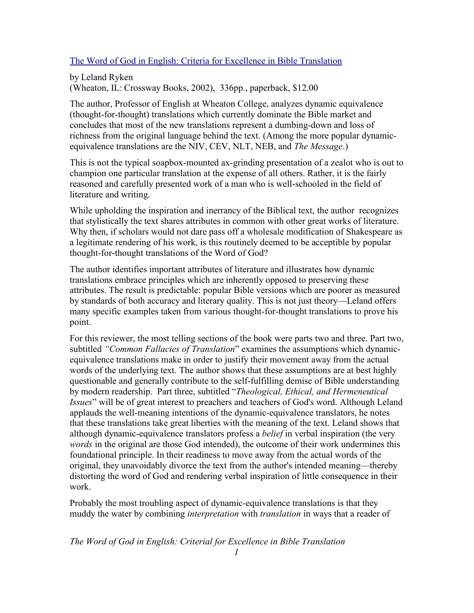## The Word of God in English: Criteria for Excellence in Bible Translation

by Leland Ryken (Wheaton, IL: Crossway Books, 2002), 336pp., paperback, \$12.00

The author, Professor of English at Wheaton College, analyzes dynamic equivalence (thought-for-thought) translations which currently dominate the Bible market and concludes that most of the new translations represent a dumbing-down and loss of richness from the original language behind the text. (Among the more popular dynamicequivalence translations are the NIV, CEV, NLT, NEB, and *The Message*.)

This is not the typical soapbox-mounted ax-grinding presentation of a zealot who is out to champion one particular translation at the expense of all others. Rather, it is the fairly reasoned and carefully presented work of a man who is well-schooled in the field of literature and writing.

While upholding the inspiration and inerrancy of the Biblical text, the author recognizes that stylistically the text shares attributes in common with other great works of literature. Why then, if scholars would not dare pass off a wholesale modification of Shakespeare as a legitimate rendering of his work, is this routinely deemed to be acceptible by popular thought-for-thought translations of the Word of God?

The author identifies important attributes of literature and illustrates how dynamic translations embrace principles which are inherently opposed to preserving these attributes. The result is predictable: popular Bible versions which are poorer as measured by standards of both accuracy and literary quality. This is not just theory—Leland offers many specific examples taken from various thought-for-thought translations to prove his point.

For this reviewer, the most telling sections of the book were parts two and three. Part two, subtitled *"Common Fallacies of Translation*" examines the assumptions which dynamicequivalence translations make in order to justify their movement away from the actual words of the underlying text. The author shows that these assumptions are at best highly questionable and generally contribute to the self-fulfilling demise of Bible understanding by modern readership. Part three, subtitled "*Theological, Ethical, and Hermeneutical Issues*" will be of great interest to preachers and teachers of God's word. Although Leland applauds the well-meaning intentions of the dynamic-equivalence translators, he notes that these translations take great liberties with the meaning of the text. Leland shows that although dynamic-equivalence translators profess a *belief* in verbal inspiration (the very *words* in the original are those God intended), the outcome of their work undermines this foundational principle. In their readiness to move away from the actual words of the original, they unavoidably divorce the text from the author's intended meaning—thereby distorting the word of God and rendering verbal inspiration of little consequence in their work.

Probably the most troubling aspect of dynamic-equivalence translations is that they muddy the water by combining *interpretation* with *translation* in ways that a reader of

*The Word of God in English: Criterial for Excellence in Bible Translation*